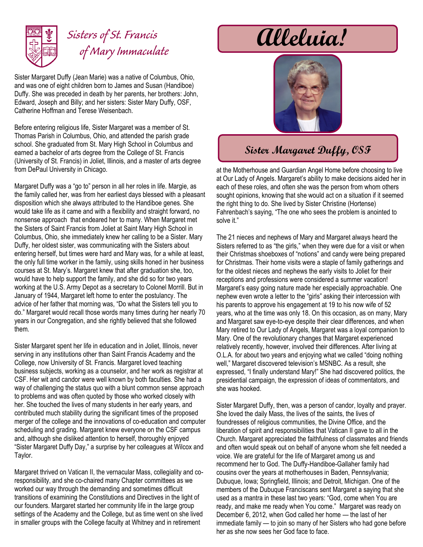

## *Sisters of St. Francis of Mary Immaculate*

Sister Margaret Duffy (Jean Marie) was a native of Columbus, Ohio, and was one of eight children born to James and Susan (Handiboe) Duffy. She was preceded in death by her parents, her brothers: John, Edward, Joseph and Billy; and her sisters: Sister Mary Duffy, OSF, Catherine Hoffman and Terese Weisenbach.

Before entering religious life, Sister Margaret was a member of St. Thomas Parish in Columbus, Ohio, and attended the parish grade school. She graduated from St. Mary High School in Columbus and earned a bachelor of arts degree from the College of St. Francis (University of St. Francis) in Joliet, Illinois, and a master of arts degree from DePaul University in Chicago.

Margaret Duffy was a "go to" person in all her roles in life. Margie, as the family called her, was from her earliest days blessed with a pleasant disposition which she always attributed to the Handiboe genes. She would take life as it came and with a flexibility and straight forward, no nonsense approach that endeared her to many. When Margaret met the Sisters of Saint Francis from Joliet at Saint Mary High School in Columbus, Ohio, she immediately knew her calling to be a Sister. Mary Duffy, her oldest sister, was communicating with the Sisters about entering herself, but times were hard and Mary was, for a while at least, the only full time worker in the family, using skills honed in her business courses at St. Mary's. Margaret knew that after graduation she, too, would have to help support the family, and she did so for two years working at the U.S. Army Depot as a secretary to Colonel Morrill. But in January of 1944, Margaret left home to enter the postulancy. The advice of her father that morning was, "Do what the Sisters tell you to do." Margaret would recall those words many times during her nearly 70 years in our Congregation, and she rightly believed that she followed them.

Sister Margaret spent her life in education and in Joliet, Illinois, never serving in any institutions other than Saint Francis Academy and the College, now University of St. Francis. Margaret loved teaching business subjects, working as a counselor, and her work as registrar at CSF. Her wit and candor were well known by both faculties. She had a way of challenging the status quo with a blunt common sense approach to problems and was often quoted by those who worked closely with her. She touched the lives of many students in her early years, and contributed much stability during the significant times of the proposed merger of the college and the innovations of co-education and computer scheduling and grading. Margaret knew everyone on the CSF campus and, although she disliked attention to herself, thoroughly enjoyed "Sister Margaret Duffy Day," a surprise by her colleagues at Wilcox and Taylor.

Margaret thrived on Vatican II, the vernacular Mass, collegiality and coresponsibility, and she co-chaired many Chapter committees as we worked our way through the demanding and sometimes difficult transitions of examining the Constitutions and Directives in the light of our founders. Margaret started her community life in the large group settings of the Academy and the College, but as time went on she lived in smaller groups with the College faculty at Whitney and in retirement

**Alleluia!**



## **Sister Margaret Duffy, OSF**

at the Motherhouse and Guardian Angel Home before choosing to live at Our Lady of Angels. Margaret's ability to make decisions aided her in each of these roles, and often she was the person from whom others sought opinions, knowing that she would act on a situation if it seemed the right thing to do. She lived by Sister Christine (Hortense) Fahrenbach's saying, "The one who sees the problem is anointed to solve it."

The 21 nieces and nephews of Mary and Margaret always heard the Sisters referred to as "the girls," when they were due for a visit or when their Christmas shoeboxes of "notions" and candy were being prepared for Christmas. Their home visits were a staple of family gatherings and for the oldest nieces and nephews the early visits to Joliet for their receptions and professions were considered a summer vacation! Margaret's easy going nature made her especially approachable. One nephew even wrote a letter to the "girls" asking their intercession with his parents to approve his engagement at 19 to his now wife of 52 years, who at the time was only 18. On this occasion, as on many, Mary and Margaret saw eye-to-eye despite their clear differences, and when Mary retired to Our Lady of Angels, Margaret was a loyal companion to Mary. One of the revolutionary changes that Margaret experienced relatively recently, however, involved their differences. After living at O.L.A. for about two years and enjoying what we called "doing nothing well," Margaret discovered television's MSNBC. As a result, she expressed, "I finally understand Mary!" She had discovered politics, the presidential campaign, the expression of ideas of commentators, and she was hooked.

Sister Margaret Duffy, then, was a person of candor, loyalty and prayer. She loved the daily Mass, the lives of the saints, the lives of foundresses of religious communities, the Divine Office, and the liberation of spirit and responsibilities that Vatican II gave to all in the Church. Margaret appreciated the faithfulness of classmates and friends and often would speak out on behalf of anyone whom she felt needed a voice. We are grateful for the life of Margaret among us and recommend her to God. The Duffy-Handiboe-Gallaher family had cousins over the years at motherhouses in Baden, Pennsylvania; Dubuque, Iowa; Springfield, Illinois; and Detroit, Michigan. One of the members of the Dubuque Franciscans sent Margaret a saying that she used as a mantra in these last two years: "God, come when You are ready, and make me ready when You come." Margaret was ready on December 6, 2012, when God called her home — the last of her immediate family — to join so many of her Sisters who had gone before her as she now sees her God face to face.